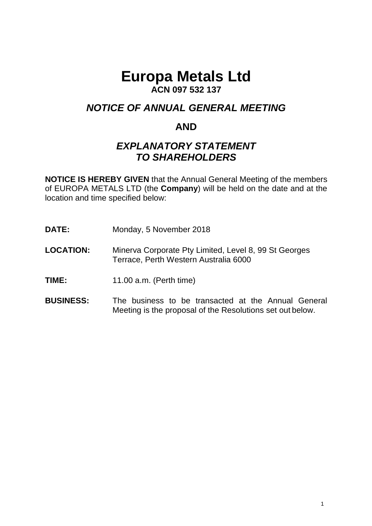# **Europa Metals Ltd**

## **ACN 097 532 137**

# *NOTICE OF ANNUAL GENERAL MEETING*

## **AND**

# *EXPLANATORY STATEMENT TO SHAREHOLDERS*

**NOTICE IS HEREBY GIVEN** that the Annual General Meeting of the members of EUROPA METALS LTD (the **Company**) will be held on the date and at the location and time specified below:

- **DATE:** Monday, 5 November 2018
- **LOCATION:** Minerva Corporate Pty Limited, Level 8, 99 St Georges Terrace, Perth Western Australia 6000
- **TIME:** 11.00 a.m. (Perth time)
- **BUSINESS:** The business to be transacted at the Annual General Meeting is the proposal of the Resolutions set out below.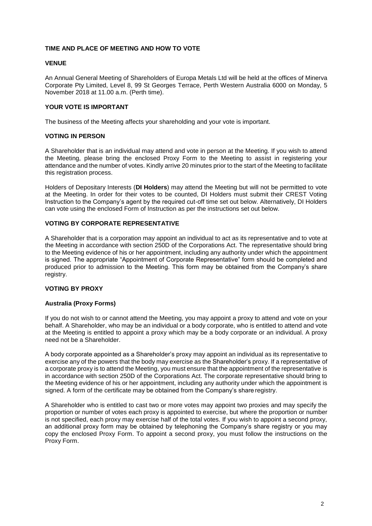#### **TIME AND PLACE OF MEETING AND HOW TO VOTE**

#### **VENUE**

An Annual General Meeting of Shareholders of Europa Metals Ltd will be held at the offices of Minerva Corporate Pty Limited, Level 8, 99 St Georges Terrace, Perth Western Australia 6000 on Monday, 5 November 2018 at 11.00 a.m. (Perth time).

#### **YOUR VOTE IS IMPORTANT**

The business of the Meeting affects your shareholding and your vote is important.

#### **VOTING IN PERSON**

A Shareholder that is an individual may attend and vote in person at the Meeting. If you wish to attend the Meeting, please bring the enclosed Proxy Form to the Meeting to assist in registering your attendance and the number of votes. Kindly arrive 20 minutes prior to the start of the Meeting to facilitate this registration process.

Holders of Depositary Interests (**DI Holders**) may attend the Meeting but will not be permitted to vote at the Meeting. In order for their votes to be counted, DI Holders must submit their CREST Voting Instruction to the Company's agent by the required cut-off time set out below. Alternatively, DI Holders can vote using the enclosed Form of Instruction as per the instructions set out below.

#### **VOTING BY CORPORATE REPRESENTATIVE**

A Shareholder that is a corporation may appoint an individual to act as its representative and to vote at the Meeting in accordance with section 250D of the Corporations Act. The representative should bring to the Meeting evidence of his or her appointment, including any authority under which the appointment is signed. The appropriate "Appointment of Corporate Representative" form should be completed and produced prior to admission to the Meeting. This form may be obtained from the Company's share registry.

#### **VOTING BY PROXY**

#### **Australia (Proxy Forms)**

If you do not wish to or cannot attend the Meeting, you may appoint a proxy to attend and vote on your behalf. A Shareholder, who may be an individual or a body corporate, who is entitled to attend and vote at the Meeting is entitled to appoint a proxy which may be a body corporate or an individual. A proxy need not be a Shareholder.

A body corporate appointed as a Shareholder's proxy may appoint an individual as its representative to exercise any of the powers that the body may exercise as the Shareholder's proxy. If a representative of a corporate proxy is to attend the Meeting, you must ensure that the appointment of the representative is in accordance with section 250D of the Corporations Act. The corporate representative should bring to the Meeting evidence of his or her appointment, including any authority under which the appointment is signed. A form of the certificate may be obtained from the Company's share registry.

A Shareholder who is entitled to cast two or more votes may appoint two proxies and may specify the proportion or number of votes each proxy is appointed to exercise, but where the proportion or number is not specified, each proxy may exercise half of the total votes. If you wish to appoint a second proxy, an additional proxy form may be obtained by telephoning the Company's share registry or you may copy the enclosed Proxy Form. To appoint a second proxy, you must follow the instructions on the Proxy Form.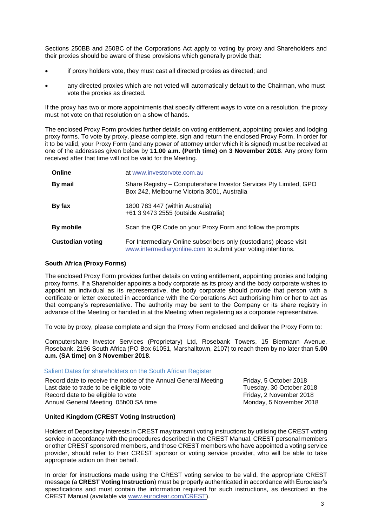Sections 250BB and 250BC of the Corporations Act apply to voting by proxy and Shareholders and their proxies should be aware of these provisions which generally provide that:

- if proxy holders vote, they must cast all directed proxies as directed; and
- any directed proxies which are not voted will automatically default to the Chairman, who must vote the proxies as directed.

If the proxy has two or more appointments that specify different ways to vote on a resolution, the proxy must not vote on that resolution on a show of hands.

The enclosed Proxy Form provides further details on voting entitlement, appointing proxies and lodging proxy forms. To vote by proxy, please complete, sign and return the enclosed Proxy Form. In order for it to be valid, your Proxy Form (and any power of attorney under which it is signed) must be received at one of the addresses given below by **11.00 a.m. (Perth time) on 3 November 2018**. Any proxy form received after that time will not be valid for the Meeting.

| Online                  | at www.investorvote.com.au                                                                                                         |
|-------------------------|------------------------------------------------------------------------------------------------------------------------------------|
| By mail                 | Share Registry – Computershare Investor Services Pty Limited, GPO<br>Box 242, Melbourne Victoria 3001, Australia                   |
| By fax                  | 1800 783 447 (within Australia)<br>+61 3 9473 2555 (outside Australia)                                                             |
| By mobile               | Scan the QR Code on your Proxy Form and follow the prompts                                                                         |
| <b>Custodian voting</b> | For Intermediary Online subscribers only (custodians) please visit<br>www.intermediaryonline.com to submit your voting intentions. |

#### **South Africa (Proxy Forms)**

The enclosed Proxy Form provides further details on voting entitlement, appointing proxies and lodging proxy forms. If a Shareholder appoints a body corporate as its proxy and the body corporate wishes to appoint an individual as its representative, the body corporate should provide that person with a certificate or letter executed in accordance with the Corporations Act authorising him or her to act as that company's representative. The authority may be sent to the Company or its share registry in advance of the Meeting or handed in at the Meeting when registering as a corporate representative.

To vote by proxy, please complete and sign the Proxy Form enclosed and deliver the Proxy Form to:

Computershare Investor Services (Proprietary) Ltd, Rosebank Towers, 15 Biermann Avenue, Rosebank, 2196 South Africa (PO Box 61051, Marshalltown, 2107) to reach them by no later than **5.00 a.m. (SA time) on 3 November 2018**.

#### Salient Dates for shareholders on the South African Register

Record date to receive the notice of the Annual General Meeting Friday, 5 October 2018 Last date to trade to be eligible to vote Tuesday, 30 October 2018 Record date to be eligible to vote Friday, 2 November 2018 Annual General Meeting 05h00 SA time Monday, 5 November 2018

#### **United Kingdom (CREST Voting Instruction)**

Holders of Depositary Interests in CREST may transmit voting instructions by utilising the CREST voting service in accordance with the procedures described in the CREST Manual. CREST personal members or other CREST sponsored members, and those CREST members who have appointed a voting service provider, should refer to their CREST sponsor or voting service provider, who will be able to take appropriate action on their behalf.

In order for instructions made using the CREST voting service to be valid, the appropriate CREST message (a **CREST Voting Instruction**) must be properly authenticated in accordance with Euroclear's specifications and must contain the information required for such instructions, as described in the CREST Manual (available via [www.euroclear.com/CREST\).](http://www.euroclear.com/CREST))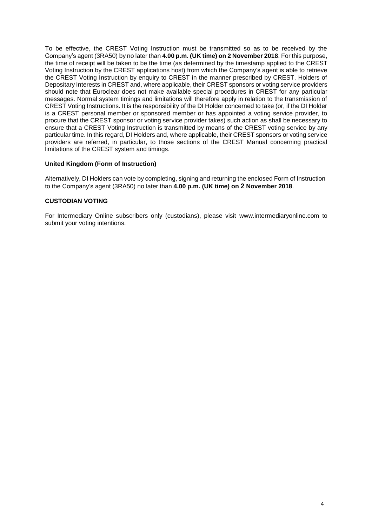To be effective, the CREST Voting Instruction must be transmitted so as to be received by the Company's agent (3RA50) by no later than **4.00 p.m. (UK time) on 2 November 2018**. For this purpose, the time of receipt will be taken to be the time (as determined by the timestamp applied to the CREST Voting Instruction by the CREST applications host) from which the Company's agent is able to retrieve the CREST Voting Instruction by enquiry to CREST in the manner prescribed by CREST. Holders of Depositary Interests in CREST and, where applicable, their CREST sponsors or voting service providers should note that Euroclear does not make available special procedures in CREST for any particular messages. Normal system timings and limitations will therefore apply in relation to the transmission of CREST Voting Instructions. It is the responsibility of the DI Holder concerned to take (or, if the DI Holder is a CREST personal member or sponsored member or has appointed a voting service provider, to procure that the CREST sponsor or voting service provider takes) such action as shall be necessary to ensure that a CREST Voting Instruction is transmitted by means of the CREST voting service by any particular time. In this regard, DI Holders and, where applicable, their CREST sponsors or voting service providers are referred, in particular, to those sections of the CREST Manual concerning practical limitations of the CREST system and timings.

#### **United Kingdom (Form of Instruction)**

Alternatively, DI Holders can vote by completing, signing and returning the enclosed Form of Instruction to the Company's agent (3RA50) no later than **4.00 p.m. (UK time) on 2 November 2018**.

#### **CUSTODIAN VOTING**

For Intermediary Online subscribers only (custodians), please visit [www.intermediaryonline.com](http://www.intermediaryonline.com/) to submit your voting intentions.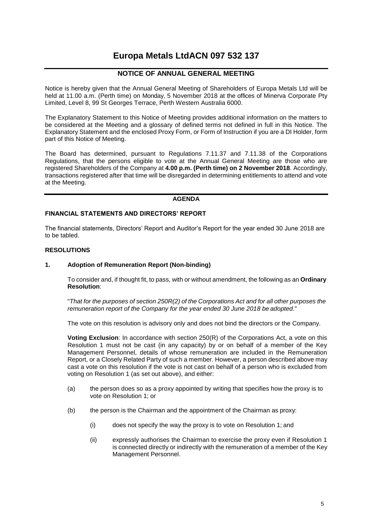### **Europa Metals LtdACN 097 532 137**

### **NOTICE OF ANNUAL GENERAL MEETING**

Notice is hereby given that the Annual General Meeting of Shareholders of Europa Metals Ltd will be held at 11.00 a.m. (Perth time) on Monday, 5 November 2018 at the offices of Minerva Corporate Pty Limited, Level 8, 99 St Georges Terrace, Perth Western Australia 6000.

The Explanatory Statement to this Notice of Meeting provides additional information on the matters to be considered at the Meeting and a glossary of defined terms not defined in full in this Notice. The Explanatory Statement and the enclosed Proxy Form, or Form of Instruction if you are a DI Holder, form part of this Notice of Meeting.

The Board has determined, pursuant to Regulations 7.11.37 and 7.11.38 of the Corporations Regulations, that the persons eligible to vote at the Annual General Meeting are those who are registered Shareholders of the Company at **4.00 p.m. (Perth time) on 2 November 2018**. Accordingly, transactions registered after that time will be disregarded in determining entitlements to attend and vote at the Meeting.

#### **AGENDA**

#### **FINANCIAL STATEMENTS AND DIRECTORS' REPORT**

The financial statements, Directors' Report and Auditor's Report for the year ended 30 June 2018 are to be tabled.

#### **RESOLUTIONS**

#### **1. Adoption of Remuneration Report (Non-binding)**

To consider and, if thought fit, to pass, with or without amendment, the following as an **Ordinary Resolution**:

"*That for the purposes of section 250R(2) of the Corporations Act and for all other purposes the remuneration report of the Company for the year ended 30 June 2018 be adopted*."

The vote on this resolution is advisory only and does not bind the directors or the Company.

**Voting Exclusion**: In accordance with section 250(R) of the Corporations Act, a vote on this Resolution 1 must not be cast (in any capacity) by or on behalf of a member of the Key Management Personnel, details of whose remuneration are included in the Remuneration Report, or a Closely Related Party of such a member. However, a person described above may cast a vote on this resolution if the vote is not cast on behalf of a person who is excluded from voting on Resolution 1 (as set out above), and either:

- (a) the person does so as a proxy appointed by writing that specifies how the proxy is to vote on Resolution 1; or
- (b) the person is the Chairman and the appointment of the Chairman as proxy:
	- (i) does not specify the way the proxy is to vote on Resolution 1; and
	- (ii) expressly authorises the Chairman to exercise the proxy even if Resolution 1 is connected directly or indirectly with the remuneration of a member of the Key Management Personnel.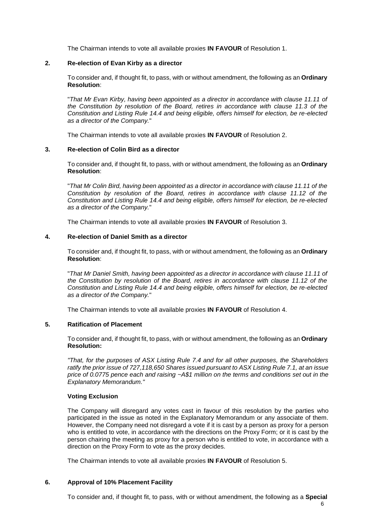The Chairman intends to vote all available proxies **IN FAVOUR** of Resolution 1.

#### **2. Re-election of Evan Kirby as a director**

To consider and, if thought fit, to pass, with or without amendment, the following as an **Ordinary Resolution**:

"*That Mr Evan Kirby, having been appointed as a director in accordance with clause 11.11 of the Constitution by resolution of the Board, retires in accordance with clause 11.3 of the Constitution and Listing Rule 14.4 and being eligible, offers himself for election, be re-elected as a director of the Company.*"

The Chairman intends to vote all available proxies **IN FAVOUR** of Resolution 2.

#### **3. Re-election of Colin Bird as a director**

To consider and, if thought fit, to pass, with or without amendment, the following as an **Ordinary Resolution**:

"*That Mr Colin Bird, having been appointed as a director in accordance with clause 11.11 of the Constitution by resolution of the Board, retires in accordance with clause 11.12 of the Constitution and Listing Rule 14.4 and being eligible, offers himself for election, be re-elected as a director of the Company.*"

The Chairman intends to vote all available proxies **IN FAVOUR** of Resolution 3.

#### **4. Re-election of Daniel Smith as a director**

To consider and, if thought fit, to pass, with or without amendment, the following as an **Ordinary Resolution**:

"*That Mr Daniel Smith, having been appointed as a director in accordance with clause 11.11 of the Constitution by resolution of the Board, retires in accordance with clause 11.12 of the Constitution and Listing Rule 14.4 and being eligible, offers himself for election, be re-elected as a director of the Company.*"

The Chairman intends to vote all available proxies **IN FAVOUR** of Resolution 4.

#### **5. Ratification of Placement**

To consider and, if thought fit, to pass, with or without amendment, the following as an **Ordinary Resolution:**

*"That, for the purposes of ASX Listing Rule 7.4 and for all other purposes, the Shareholders ratify the prior issue of 727,118,650 Shares issued pursuant to ASX Listing Rule 7.1, at an issue price of 0.0775 pence each and raising ~A\$1 million on the terms and conditions set out in the Explanatory Memorandum."*

#### **Voting Exclusion**

The Company will disregard any votes cast in favour of this resolution by the parties who participated in the issue as noted in the Explanatory Memorandum or any associate of them. However, the Company need not disregard a vote if it is cast by a person as proxy for a person who is entitled to vote, in accordance with the directions on the Proxy Form; or it is cast by the person chairing the meeting as proxy for a person who is entitled to vote, in accordance with a direction on the Proxy Form to vote as the proxy decides.

The Chairman intends to vote all available proxies **IN FAVOUR** of Resolution 5.

#### **6. Approval of 10% Placement Facility**

To consider and, if thought fit, to pass, with or without amendment, the following as a **Special**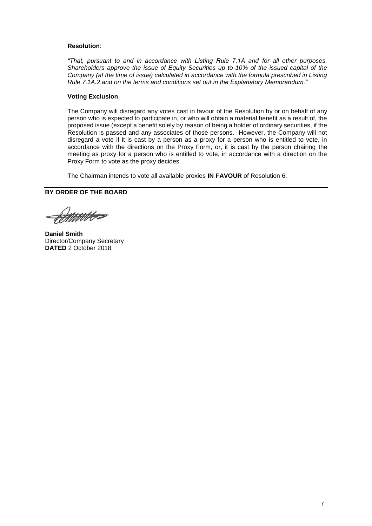#### **Resolution**:

*"That, pursuant to and in accordance with Listing Rule 7.1A and for all other purposes, Shareholders approve the issue of Equity Securities up to 10% of the issued capital of the Company (at the time of issue) calculated in accordance with the formula prescribed in Listing Rule 7.1A.2 and on the terms and conditions set out in the Explanatory Memorandum."*

#### **Voting Exclusion**

The Company will disregard any votes cast in favour of the Resolution by or on behalf of any person who is expected to participate in, or who will obtain a material benefit as a result of, the proposed issue (except a benefit solely by reason of being a holder of ordinary securities, if the Resolution is passed and any associates of those persons. However, the Company will not disregard a vote if it is cast by a person as a proxy for a person who is entitled to vote, in accordance with the directions on the Proxy Form, or, it is cast by the person chairing the meeting as proxy for a person who is entitled to vote, in accordance with a direction on the Proxy Form to vote as the proxy decides.

The Chairman intends to vote all available proxies **IN FAVOUR** of Resolution 6.

**BY ORDER OF THE BOARD**

.<br>MMH

**Daniel Smith** Director/Company Secretary **DATED** 2 October 2018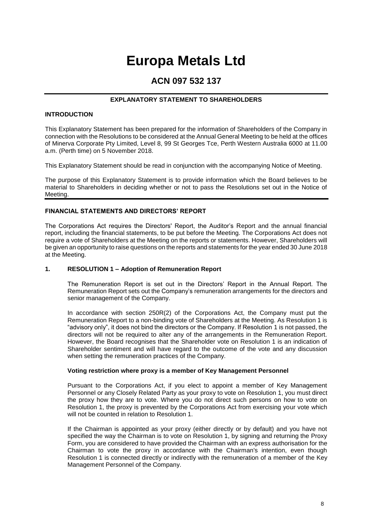# **Europa Metals Ltd**

### **ACN 097 532 137**

#### **EXPLANATORY STATEMENT TO SHAREHOLDERS**

#### **INTRODUCTION**

This Explanatory Statement has been prepared for the information of Shareholders of the Company in connection with the Resolutions to be considered at the Annual General Meeting to be held at the offices of Minerva Corporate Pty Limited, Level 8, 99 St Georges Tce, Perth Western Australia 6000 at 11.00 a.m. (Perth time) on 5 November 2018.

This Explanatory Statement should be read in conjunction with the accompanying Notice of Meeting.

The purpose of this Explanatory Statement is to provide information which the Board believes to be material to Shareholders in deciding whether or not to pass the Resolutions set out in the Notice of Meeting.

#### **FINANCIAL STATEMENTS AND DIRECTORS' REPORT**

The Corporations Act requires the Directors' Report, the Auditor's Report and the annual financial report, including the financial statements, to be put before the Meeting. The Corporations Act does not require a vote of Shareholders at the Meeting on the reports or statements. However, Shareholders will be given an opportunity to raise questions on the reports and statements for the year ended 30 June 2018 at the Meeting.

#### **1. RESOLUTION 1 – Adoption of Remuneration Report**

The Remuneration Report is set out in the Directors' Report in the Annual Report. The Remuneration Report sets out the Company's remuneration arrangements for the directors and senior management of the Company.

In accordance with section 250R(2) of the Corporations Act, the Company must put the Remuneration Report to a non-binding vote of Shareholders at the Meeting. As Resolution 1 is "advisory only", it does not bind the directors or the Company. If Resolution 1 is not passed, the directors will not be required to alter any of the arrangements in the Remuneration Report. However, the Board recognises that the Shareholder vote on Resolution 1 is an indication of Shareholder sentiment and will have regard to the outcome of the vote and any discussion when setting the remuneration practices of the Company.

#### **Voting restriction where proxy is a member of Key Management Personnel**

Pursuant to the Corporations Act, if you elect to appoint a member of Key Management Personnel or any Closely Related Party as your proxy to vote on Resolution 1, you must direct the proxy how they are to vote. Where you do not direct such persons on how to vote on Resolution 1, the proxy is prevented by the Corporations Act from exercising your vote which will not be counted in relation to Resolution 1.

If the Chairman is appointed as your proxy (either directly or by default) and you have not specified the way the Chairman is to vote on Resolution 1, by signing and returning the Proxy Form, you are considered to have provided the Chairman with an express authorisation for the Chairman to vote the proxy in accordance with the Chairman's intention, even though Resolution 1 is connected directly or indirectly with the remuneration of a member of the Key Management Personnel of the Company.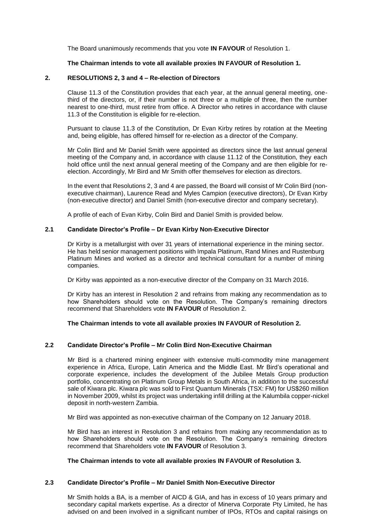The Board unanimously recommends that you vote **IN FAVOUR** of Resolution 1.

#### **The Chairman intends to vote all available proxies IN FAVOUR of Resolution 1.**

#### **2. RESOLUTIONS 2, 3 and 4 – Re-election of Directors**

Clause 11.3 of the Constitution provides that each year, at the annual general meeting, onethird of the directors, or, if their number is not three or a multiple of three, then the number nearest to one-third, must retire from office. A Director who retires in accordance with clause 11.3 of the Constitution is eligible for re-election.

Pursuant to clause 11.3 of the Constitution, Dr Evan Kirby retires by rotation at the Meeting and, being eligible, has offered himself for re-election as a director of the Company.

Mr Colin Bird and Mr Daniel Smith were appointed as directors since the last annual general meeting of the Company and, in accordance with clause 11.12 of the Constitution, they each hold office until the next annual general meeting of the Company and are then eligible for reelection. Accordingly, Mr Bird and Mr Smith offer themselves for election as directors.

In the event that Resolutions 2, 3 and 4 are passed, the Board will consist of Mr Colin Bird (nonexecutive chairman), Laurence Read and Myles Campion (executive directors), Dr Evan Kirby (non-executive director) and Daniel Smith (non-executive director and company secretary).

A profile of each of Evan Kirby, Colin Bird and Daniel Smith is provided below.

#### **2.1 Candidate Director's Profile – Dr Evan Kirby Non-Executive Director**

Dr Kirby is a metallurgist with over 31 years of international experience in the mining sector. He has held senior management positions with Impala Platinum, Rand Mines and Rustenburg Platinum Mines and worked as a director and technical consultant for a number of mining companies.

Dr Kirby was appointed as a non-executive director of the Company on 31 March 2016.

Dr Kirby has an interest in Resolution 2 and refrains from making any recommendation as to how Shareholders should vote on the Resolution. The Company's remaining directors recommend that Shareholders vote **IN FAVOUR** of Resolution 2.

#### **The Chairman intends to vote all available proxies IN FAVOUR of Resolution 2.**

#### **2.2 Candidate Director's Profile – Mr Colin Bird Non-Executive Chairman**

Mr Bird is a chartered mining engineer with extensive multi-commodity mine management experience in Africa, Europe, Latin America and the Middle East. Mr Bird's operational and corporate experience, includes the development of the Jubilee Metals Group production portfolio, concentrating on Platinum Group Metals in South Africa, in addition to the successful sale of Kiwara plc. Kiwara plc was sold to First Quantum Minerals (TSX: FM) for US\$260 million in November 2009, whilst its project was undertaking infill drilling at the Kalumbila copper-nickel deposit in north-western Zambia.

Mr Bird was appointed as non-executive chairman of the Company on 12 January 2018.

Mr Bird has an interest in Resolution 3 and refrains from making any recommendation as to how Shareholders should vote on the Resolution. The Company's remaining directors recommend that Shareholders vote **IN FAVOUR** of Resolution 3.

#### **The Chairman intends to vote all available proxies IN FAVOUR of Resolution 3.**

#### **2.3 Candidate Director's Profile – Mr Daniel Smith Non-Executive Director**

Mr Smith holds a BA, is a member of AICD & GIA, and has in excess of 10 years primary and secondary capital markets expertise. As a director of Minerva Corporate Pty Limited, he has advised on and been involved in a significant number of IPOs, RTOs and capital raisings on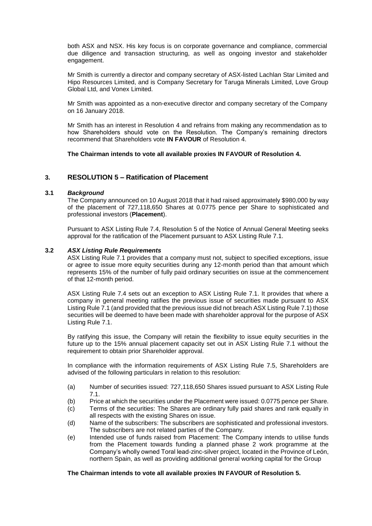both ASX and NSX. His key focus is on corporate governance and compliance, commercial due diligence and transaction structuring, as well as ongoing investor and stakeholder engagement.

Mr Smith is currently a director and company secretary of ASX-listed Lachlan Star Limited and Hipo Resources Limited, and is Company Secretary for Taruga Minerals Limited, Love Group Global Ltd, and Vonex Limited.

Mr Smith was appointed as a non-executive director and company secretary of the Company on 16 January 2018.

Mr Smith has an interest in Resolution 4 and refrains from making any recommendation as to how Shareholders should vote on the Resolution. The Company's remaining directors recommend that Shareholders vote **IN FAVOUR** of Resolution 4.

**The Chairman intends to vote all available proxies IN FAVOUR of Resolution 4.**

#### **3. RESOLUTION 5 – Ratification of Placement**

#### **3.1** *Background*

The Company announced on 10 August 2018 that it had raised approximately \$980,000 by way of the placement of 727,118,650 Shares at 0.0775 pence per Share to sophisticated and professional investors (**Placement**).

Pursuant to ASX Listing Rule 7.4, Resolution 5 of the Notice of Annual General Meeting seeks approval for the ratification of the Placement pursuant to ASX Listing Rule 7.1.

#### **3.2** *ASX Listing Rule Requirements*

ASX Listing Rule 7.1 provides that a company must not, subject to specified exceptions, issue or agree to issue more equity securities during any 12-month period than that amount which represents 15% of the number of fully paid ordinary securities on issue at the commencement of that 12-month period.

ASX Listing Rule 7.4 sets out an exception to ASX Listing Rule 7.1. It provides that where a company in general meeting ratifies the previous issue of securities made pursuant to ASX Listing Rule 7.1 (and provided that the previous issue did not breach ASX Listing Rule 7.1) those securities will be deemed to have been made with shareholder approval for the purpose of ASX Listing Rule 7.1.

By ratifying this issue, the Company will retain the flexibility to issue equity securities in the future up to the 15% annual placement capacity set out in ASX Listing Rule 7.1 without the requirement to obtain prior Shareholder approval.

In compliance with the information requirements of ASX Listing Rule 7.5, Shareholders are advised of the following particulars in relation to this resolution:

- (a) Number of securities issued: 727,118,650 Shares issued pursuant to ASX Listing Rule 7.1.
- (b) Price at which the securities under the Placement were issued: 0.0775 pence per Share.
- (c) Terms of the securities: The Shares are ordinary fully paid shares and rank equally in all respects with the existing Shares on issue.
- (d) Name of the subscribers: The subscribers are sophisticated and professional investors. The subscribers are not related parties of the Company.
- (e) Intended use of funds raised from Placement: The Company intends to utilise funds from the Placement towards funding a planned phase 2 work programme at the Company's wholly owned Toral lead-zinc-silver project, located in the Province of Leόn, northern Spain, as well as providing additional general working capital for the Group

#### **The Chairman intends to vote all available proxies IN FAVOUR of Resolution 5.**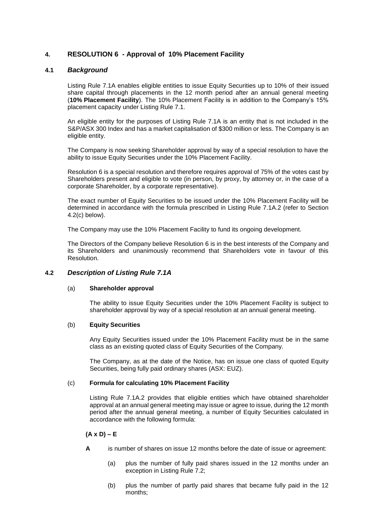#### **4. RESOLUTION 6 - Approval of 10% Placement Facility**

#### **4.1** *Background*

Listing Rule 7.1A enables eligible entities to issue Equity Securities up to 10% of their issued share capital through placements in the 12 month period after an annual general meeting (**10% Placement Facility**). The 10% Placement Facility is in addition to the Company's 15% placement capacity under Listing Rule 7.1.

An eligible entity for the purposes of Listing Rule 7.1A is an entity that is not included in the S&P/ASX 300 Index and has a market capitalisation of \$300 million or less. The Company is an eligible entity.

The Company is now seeking Shareholder approval by way of a special resolution to have the ability to issue Equity Securities under the 10% Placement Facility.

Resolution 6 is a special resolution and therefore requires approval of 75% of the votes cast by Shareholders present and eligible to vote (in person, by proxy, by attorney or, in the case of a corporate Shareholder, by a corporate representative).

The exact number of Equity Securities to be issued under the 10% Placement Facility will be determined in accordance with the formula prescribed in Listing Rule 7.1A.2 (refer to Section 4.2(c) below).

The Company may use the 10% Placement Facility to fund its ongoing development.

The Directors of the Company believe Resolution 6 is in the best interests of the Company and its Shareholders and unanimously recommend that Shareholders vote in favour of this Resolution.

#### **4.2** *Description of Listing Rule 7.1A*

#### (a) **Shareholder approval**

The ability to issue Equity Securities under the 10% Placement Facility is subject to shareholder approval by way of a special resolution at an annual general meeting.

#### (b) **Equity Securities**

Any Equity Securities issued under the 10% Placement Facility must be in the same class as an existing quoted class of Equity Securities of the Company.

The Company, as at the date of the Notice, has on issue one class of quoted Equity Securities, being fully paid ordinary shares (ASX: EUZ).

#### (c) **Formula for calculating 10% Placement Facility**

Listing Rule 7.1A.2 provides that eligible entities which have obtained shareholder approval at an annual general meeting may issue or agree to issue, during the 12 month period after the annual general meeting, a number of Equity Securities calculated in accordance with the following formula:

#### **(A x D) – E**

- **A** is number of shares on issue 12 months before the date of issue or agreement:
	- (a) plus the number of fully paid shares issued in the 12 months under an exception in Listing Rule 7.2;
	- (b) plus the number of partly paid shares that became fully paid in the 12 months;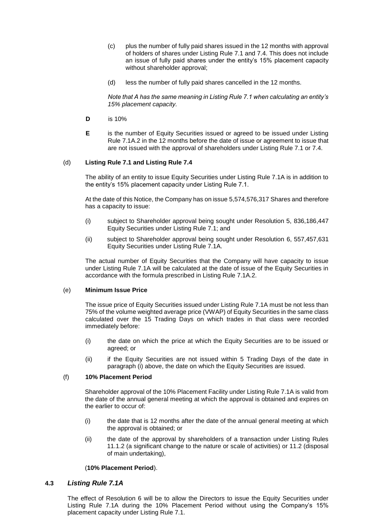- (c) plus the number of fully paid shares issued in the 12 months with approval of holders of shares under Listing Rule 7.1 and 7.4. This does not include an issue of fully paid shares under the entity's 15% placement capacity without shareholder approval;
- (d) less the number of fully paid shares cancelled in the 12 months.

*Note that A has the same meaning in Listing Rule 7.1 when calculating an entity's 15% placement capacity.*

- **D** is 10%
- **E** is the number of Equity Securities issued or agreed to be issued under Listing Rule 7.1A.2 in the 12 months before the date of issue or agreement to issue that are not issued with the approval of shareholders under Listing Rule 7.1 or 7.4.

#### (d) **Listing Rule 7.1 and Listing Rule 7.4**

The ability of an entity to issue Equity Securities under Listing Rule 7.1A is in addition to the entity's 15% placement capacity under Listing Rule 7.1.

At the date of this Notice, the Company has on issue 5,574,576,317 Shares and therefore has a capacity to issue:

- (i) subject to Shareholder approval being sought under Resolution 5, 836,186,447 Equity Securities under Listing Rule 7.1; and
- (ii) subject to Shareholder approval being sought under Resolution 6, 557,457,631 Equity Securities under Listing Rule 7.1A.

The actual number of Equity Securities that the Company will have capacity to issue under Listing Rule 7.1A will be calculated at the date of issue of the Equity Securities in accordance with the formula prescribed in Listing Rule 7.1A.2.

#### (e) **Minimum Issue Price**

The issue price of Equity Securities issued under Listing Rule 7.1A must be not less than 75% of the volume weighted average price (VWAP) of Equity Securities in the same class calculated over the 15 Trading Days on which trades in that class were recorded immediately before:

- (i) the date on which the price at which the Equity Securities are to be issued or agreed; or
- (ii) if the Equity Securities are not issued within 5 Trading Days of the date in paragraph (i) above, the date on which the Equity Securities are issued.

#### (f) **10% Placement Period**

Shareholder approval of the 10% Placement Facility under Listing Rule 7.1A is valid from the date of the annual general meeting at which the approval is obtained and expires on the earlier to occur of:

- $(i)$  the date that is 12 months after the date of the annual general meeting at which the approval is obtained; or
- (ii) the date of the approval by shareholders of a transaction under Listing Rules 11.1.2 (a significant change to the nature or scale of activities) or 11.2 (disposal of main undertaking),

#### (**10% Placement Period**).

#### **4.3** *Listing Rule 7.1A*

The effect of Resolution 6 will be to allow the Directors to issue the Equity Securities under Listing Rule 7.1A during the 10% Placement Period without using the Company's 15% placement capacity under Listing Rule 7.1.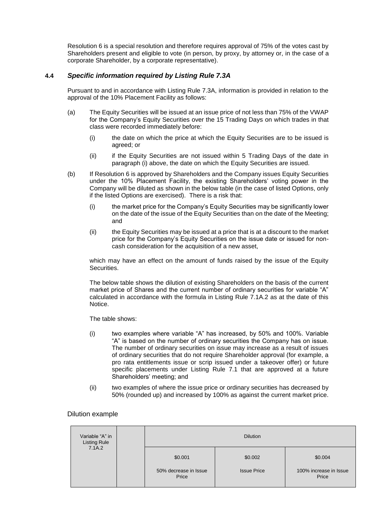Resolution 6 is a special resolution and therefore requires approval of 75% of the votes cast by Shareholders present and eligible to vote (in person, by proxy, by attorney or, in the case of a corporate Shareholder, by a corporate representative).

#### **4.4** *Specific information required by Listing Rule 7.3A*

Pursuant to and in accordance with Listing Rule 7.3A, information is provided in relation to the approval of the 10% Placement Facility as follows:

- (a) The Equity Securities will be issued at an issue price of not less than 75% of the VWAP for the Company's Equity Securities over the 15 Trading Days on which trades in that class were recorded immediately before:
	- (i) the date on which the price at which the Equity Securities are to be issued is agreed; or
	- (ii) if the Equity Securities are not issued within 5 Trading Days of the date in paragraph (i) above, the date on which the Equity Securities are issued.
- (b) If Resolution 6 is approved by Shareholders and the Company issues Equity Securities under the 10% Placement Facility, the existing Shareholders' voting power in the Company will be diluted as shown in the below table (in the case of listed Options, only if the listed Options are exercised). There is a risk that:
	- (i) the market price for the Company's Equity Securities may be significantly lower on the date of the issue of the Equity Securities than on the date of the Meeting; and
	- (ii) the Equity Securities may be issued at a price that is at a discount to the market price for the Company's Equity Securities on the issue date or issued for noncash consideration for the acquisition of a new asset,

which may have an effect on the amount of funds raised by the issue of the Equity Securities.

The below table shows the dilution of existing Shareholders on the basis of the current market price of Shares and the current number of ordinary securities for variable "A" calculated in accordance with the formula in Listing Rule 7.1A.2 as at the date of this Notice.

The table shows:

- (i) two examples where variable "A" has increased, by 50% and 100%. Variable "A" is based on the number of ordinary securities the Company has on issue. The number of ordinary securities on issue may increase as a result of issues of ordinary securities that do not require Shareholder approval (for example, a pro rata entitlements issue or scrip issued under a takeover offer) or future specific placements under Listing Rule 7.1 that are approved at a future Shareholders' meeting; and
- (ii) two examples of where the issue price or ordinary securities has decreased by 50% (rounded up) and increased by 100% as against the current market price.

#### Dilution example

| Variable "A" in<br><b>Listing Rule</b> |  | <b>Dilution</b>                                                            |  |                                            |
|----------------------------------------|--|----------------------------------------------------------------------------|--|--------------------------------------------|
| 7.1A.2                                 |  | \$0.002<br>\$0.001<br>50% decrease in Issue<br><b>Issue Price</b><br>Price |  | \$0.004<br>100% increase in Issue<br>Price |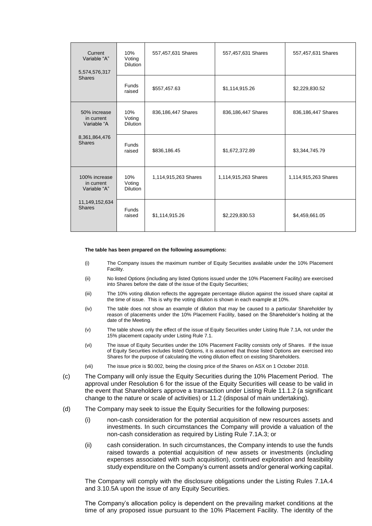| Current<br>10%<br>Variable "A"<br>Voting<br><b>Dilution</b><br>5,574,576,317 |                                  | 557,457,631 Shares   | 557,457,631 Shares   | 557,457,631 Shares   |
|------------------------------------------------------------------------------|----------------------------------|----------------------|----------------------|----------------------|
| <b>Shares</b>                                                                | <b>Funds</b><br>raised           | \$557,457.63         | \$1,114,915.26       | \$2,229,830.52       |
| 50% increase<br>in current<br>Variable "A                                    | 10%<br>Voting<br><b>Dilution</b> | 836,186,447 Shares   | 836,186,447 Shares   | 836,186,447 Shares   |
| 8,361,864,476<br><b>Shares</b>                                               | <b>Funds</b><br>raised           | \$836,186.45         | \$1,672,372.89       | \$3,344,745.79       |
| 100% increase<br>in current<br>Variable "A"                                  | 10%<br>Voting<br><b>Dilution</b> | 1,114,915,263 Shares | 1,114,915,263 Shares | 1,114,915,263 Shares |
| 11,149,152,634<br><b>Shares</b>                                              | <b>Funds</b><br>raised           | \$1,114,915.26       | \$2,229,830.53       | \$4,459,661.05       |

#### **The table has been prepared on the following assumptions:**

- (i) The Company issues the maximum number of Equity Securities available under the 10% Placement Facility.
- (ii) No listed Options (including any listed Options issued under the 10% Placement Facility) are exercised into Shares before the date of the issue of the Equity Securities;
- (iii) The 10% voting dilution reflects the aggregate percentage dilution against the issued share capital at the time of issue. This is why the voting dilution is shown in each example at 10%.
- (iv) The table does not show an example of dilution that may be caused to a particular Shareholder by reason of placements under the 10% Placement Facility, based on the Shareholder's holding at the date of the Meeting.
- (v) The table shows only the effect of the issue of Equity Securities under Listing Rule 7.1A, not under the 15% placement capacity under Listing Rule 7.1.
- (vi) The issue of Equity Securities under the 10% Placement Facility consists only of Shares. If the issue of Equity Securities includes listed Options, it is assumed that those listed Options are exercised into Shares for the purpose of calculating the voting dilution effect on existing Shareholders.
- (vii) The issue price is \$0.002, being the closing price of the Shares on ASX on 1 October 2018.
- (c) The Company will only issue the Equity Securities during the 10% Placement Period. The approval under Resolution 6 for the issue of the Equity Securities will cease to be valid in the event that Shareholders approve a transaction under Listing Rule 11.1.2 (a significant change to the nature or scale of activities) or 11.2 (disposal of main undertaking).
- (d) The Company may seek to issue the Equity Securities for the following purposes:
	- (i) non-cash consideration for the potential acquisition of new resources assets and investments. In such circumstances the Company will provide a valuation of the non-cash consideration as required by Listing Rule 7.1A.3; or
	- (ii) cash consideration. In such circumstances, the Company intends to use the funds raised towards a potential acquisition of new assets or investments (including expenses associated with such acquisition), continued exploration and feasibility study expenditure on the Company's current assets and/or general working capital.

The Company will comply with the disclosure obligations under the Listing Rules 7.1A.4 and 3.10.5A upon the issue of any Equity Securities.

The Company's allocation policy is dependent on the prevailing market conditions at the time of any proposed issue pursuant to the 10% Placement Facility. The identity of the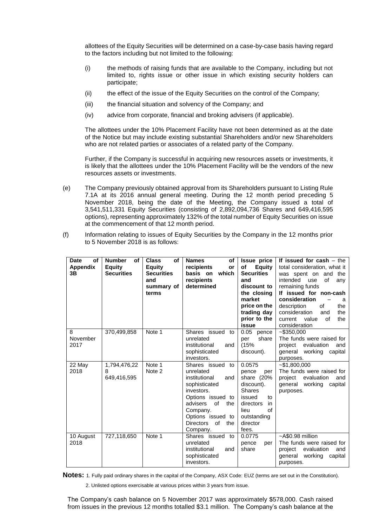allottees of the Equity Securities will be determined on a case-by-case basis having regard to the factors including but not limited to the following:

- (i) the methods of raising funds that are available to the Company, including but not limited to, rights issue or other issue in which existing security holders can participate;
- (ii) the effect of the issue of the Equity Securities on the control of the Company;
- (iii) the financial situation and solvency of the Company; and
- (iv) advice from corporate, financial and broking advisers (if applicable).

The allottees under the 10% Placement Facility have not been determined as at the date of the Notice but may include existing substantial Shareholders and/or new Shareholders who are not related parties or associates of a related party of the Company.

Further, if the Company is successful in acquiring new resources assets or investments, it is likely that the allottees under the 10% Placement Facility will be the vendors of the new resources assets or investments.

- (e) The Company previously obtained approval from its Shareholders pursuant to Listing Rule 7.1A at its 2016 annual general meeting. During the 12 month period preceding 5 November 2018, being the date of the Meeting, the Company issued a total of 3,541,511,331 Equity Securities (consisting of 2,892,094,736 Shares and 649,416,595 options), representing approximately 132% of the total number of Equity Securities on issue at the commencement of that 12 month period.
- (f) Information relating to issues of Equity Securities by the Company in the 12 months prior to 5 November 2018 is as follows:

| of<br><b>Date</b><br><b>Appendix</b><br>3B | <b>Number</b><br>of<br>Equity<br><b>Securities</b> | <b>Class</b><br>of<br>Equity<br><b>Securities</b><br>and<br>summary of<br>terms | <b>Names</b><br>of<br>recipients<br>or<br>which<br>basis on<br>recipients<br>determined                                                                                                                          | <b>Issue price</b><br>of<br>Equity<br><b>Securities</b><br>and<br>discount to<br>the closing<br>market<br>price on the<br>trading day<br>prior to the<br>issue | If issued for $cash - the$<br>total consideration, what it<br>was spent on and the<br>intended<br>use<br>of<br>any<br>remaining funds<br>If issued for non-cash<br>consideration<br>a<br>of<br>the<br>description<br>consideration<br>the<br>and<br>the<br>current<br>value<br>οf<br>consideration |
|--------------------------------------------|----------------------------------------------------|---------------------------------------------------------------------------------|------------------------------------------------------------------------------------------------------------------------------------------------------------------------------------------------------------------|----------------------------------------------------------------------------------------------------------------------------------------------------------------|----------------------------------------------------------------------------------------------------------------------------------------------------------------------------------------------------------------------------------------------------------------------------------------------------|
| 8<br>November<br>2017                      | 370,499,858                                        | Note 1                                                                          | Shares issued to<br>unrelated<br>institutional<br>and<br>sophisticated<br>investors.                                                                                                                             | 0.05 pence<br>share<br>per<br>(15%<br>discount).                                                                                                               | $-$ \$350.000<br>The funds were raised for<br>project evaluation<br>and<br>working<br>general<br>capital<br>purposes.                                                                                                                                                                              |
| 22 May<br>2018                             | 1,794,476,22<br>8<br>649,416,595                   | Note 1<br>Note 2                                                                | Shares issued to<br>unrelated<br>institutional<br>and<br>sophisticated<br>investors.<br>Options issued to<br>advisers<br>of<br>the<br>Company.<br>Options issued to<br>of<br><b>Directors</b><br>the<br>Company. | 0.0575<br>pence<br>per<br>share (20%<br>discount).<br><b>Shares</b><br>issued<br>to<br>directors<br>in<br>of<br>lieu<br>outstanding<br>director<br>fees.       | $-$ \$1,800,000<br>The funds were raised for<br>project<br>evaluation<br>and<br>general working<br>capital<br>purposes.                                                                                                                                                                            |
| 10 August<br>2018                          | 727,118,650                                        | Note 1                                                                          | Shares issued to<br>unrelated<br>institutional<br>and<br>sophisticated<br>investors.                                                                                                                             | 0.0775<br>pence<br>per<br>share                                                                                                                                | $~\sim$ A\$0.98 million<br>The funds were raised for<br>project<br>evaluation<br>and<br>general<br>working<br>capital<br>purposes.                                                                                                                                                                 |

**Notes:** 1. Fully paid ordinary shares in the capital of the Company, ASX Code: EUZ (terms are set out in the Constitution).

2. Unlisted options exercisable at various prices within 3 years from issue.

The Company's cash balance on 5 November 2017 was approximately \$578,000. Cash raised from issues in the previous 12 months totalled \$3.1 million. The Company's cash balance at the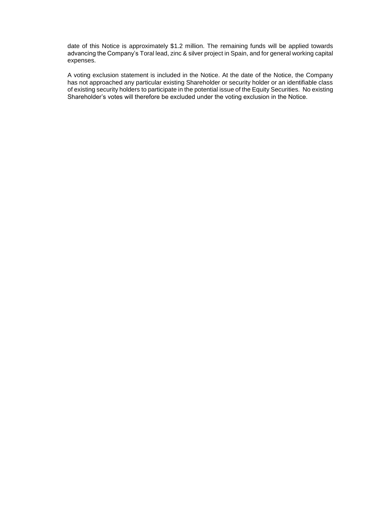date of this Notice is approximately \$1.2 million. The remaining funds will be applied towards advancing the Company's Toral lead, zinc & silver project in Spain, and for general working capital expenses.

A voting exclusion statement is included in the Notice. At the date of the Notice, the Company has not approached any particular existing Shareholder or security holder or an identifiable class of existing security holders to participate in the potential issue of the Equity Securities. No existing Shareholder's votes will therefore be excluded under the voting exclusion in the Notice.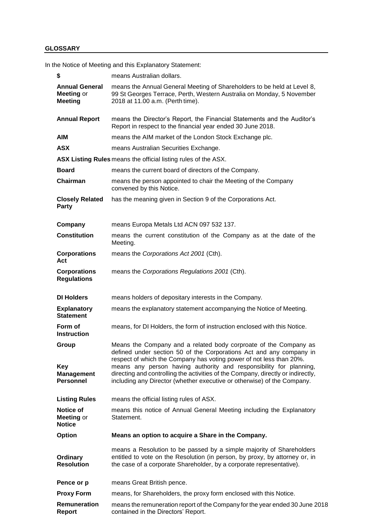### **GLOSSARY**

In the Notice of Meeting and this Explanatory Statement:

| \$                                                           | means Australian dollars.                                                                                                                                                                                                                                                                                                                                                                                                                           |
|--------------------------------------------------------------|-----------------------------------------------------------------------------------------------------------------------------------------------------------------------------------------------------------------------------------------------------------------------------------------------------------------------------------------------------------------------------------------------------------------------------------------------------|
| <b>Annual General</b><br>Meeting or<br><b>Meeting</b>        | means the Annual General Meeting of Shareholders to be held at Level 8,<br>99 St Georges Terrace, Perth, Western Australia on Monday, 5 November<br>2018 at 11.00 a.m. (Perth time).                                                                                                                                                                                                                                                                |
| <b>Annual Report</b>                                         | means the Director's Report, the Financial Statements and the Auditor's<br>Report in respect to the financial year ended 30 June 2018.                                                                                                                                                                                                                                                                                                              |
| <b>AIM</b>                                                   | means the AIM market of the London Stock Exchange plc.                                                                                                                                                                                                                                                                                                                                                                                              |
| <b>ASX</b>                                                   | means Australian Securities Exchange.                                                                                                                                                                                                                                                                                                                                                                                                               |
|                                                              | ASX Listing Rules means the official listing rules of the ASX.                                                                                                                                                                                                                                                                                                                                                                                      |
| <b>Board</b>                                                 | means the current board of directors of the Company.                                                                                                                                                                                                                                                                                                                                                                                                |
| Chairman                                                     | means the person appointed to chair the Meeting of the Company<br>convened by this Notice.                                                                                                                                                                                                                                                                                                                                                          |
| <b>Closely Related</b><br><b>Party</b>                       | has the meaning given in Section 9 of the Corporations Act.                                                                                                                                                                                                                                                                                                                                                                                         |
| Company                                                      | means Europa Metals Ltd ACN 097 532 137.                                                                                                                                                                                                                                                                                                                                                                                                            |
| <b>Constitution</b>                                          | means the current constitution of the Company as at the date of the<br>Meeting.                                                                                                                                                                                                                                                                                                                                                                     |
| <b>Corporations</b><br>Act                                   | means the Corporations Act 2001 (Cth).                                                                                                                                                                                                                                                                                                                                                                                                              |
| <b>Corporations</b><br><b>Regulations</b>                    | means the Corporations Regulations 2001 (Cth).                                                                                                                                                                                                                                                                                                                                                                                                      |
| <b>DI Holders</b>                                            | means holders of depositary interests in the Company.                                                                                                                                                                                                                                                                                                                                                                                               |
| <b>Explanatory</b><br><b>Statement</b>                       | means the explanatory statement accompanying the Notice of Meeting.                                                                                                                                                                                                                                                                                                                                                                                 |
| Form of<br><b>Instruction</b>                                | means, for DI Holders, the form of instruction enclosed with this Notice.                                                                                                                                                                                                                                                                                                                                                                           |
| Group<br><b>Key</b><br><b>Management</b><br><b>Personnel</b> | Means the Company and a related body corproate of the Company as<br>defined under section 50 of the Corporations Act and any company in<br>respect of which the Company has voting power of not less than 20%.<br>means any person having authority and responsibility for planning,<br>directing and controlling the activities of the Company, directly or indirectly,<br>including any Director (whether executive or otherwise) of the Company. |
| <b>Listing Rules</b>                                         | means the official listing rules of ASX.                                                                                                                                                                                                                                                                                                                                                                                                            |
| Notice of<br>Meeting or<br><b>Notice</b>                     | means this notice of Annual General Meeting including the Explanatory<br>Statement.                                                                                                                                                                                                                                                                                                                                                                 |
| <b>Option</b>                                                | Means an option to acquire a Share in the Company.                                                                                                                                                                                                                                                                                                                                                                                                  |
| Ordinary<br><b>Resolution</b>                                | means a Resolution to be passed by a simple majority of Shareholders<br>entitled to vote on the Resolution (in person, by proxy, by attorney or, in<br>the case of a corporate Shareholder, by a corporate representative).                                                                                                                                                                                                                         |
| Pence or p                                                   | means Great British pence.                                                                                                                                                                                                                                                                                                                                                                                                                          |
| <b>Proxy Form</b>                                            | means, for Shareholders, the proxy form enclosed with this Notice.                                                                                                                                                                                                                                                                                                                                                                                  |
| Remuneration<br><b>Report</b>                                | means the remuneration report of the Company for the year ended 30 June 2018<br>contained in the Directors' Report.                                                                                                                                                                                                                                                                                                                                 |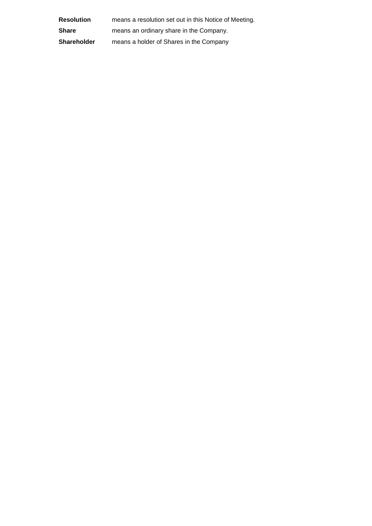| <b>Resolution</b>  | means a resolution set out in this Notice of Meeting. |
|--------------------|-------------------------------------------------------|
| <b>Share</b>       | means an ordinary share in the Company.               |
| <b>Shareholder</b> | means a holder of Shares in the Company               |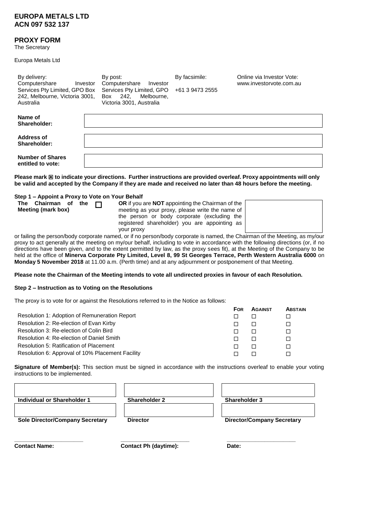#### **EUROPA METALS LTD ACN 097 532 137**

#### **PROXY FORM**

The Secretary

Europa Metals Ltd

| By delivery:<br>Computershare<br>Investor<br>Services Pty Limited, GPO Box<br>242, Melbourne, Victoria 3001,<br>Australia | By post:<br>Computershare<br>Investor<br>Services Pty Limited, GPO<br>242.<br>Melbourne.<br>Box<br>Victoria 3001, Australia | By facsimile:<br>+61 3 9473 2555 | Online via Investor Vote:<br>www.investoryote.com.au                                                                                                                                                                          |
|---------------------------------------------------------------------------------------------------------------------------|-----------------------------------------------------------------------------------------------------------------------------|----------------------------------|-------------------------------------------------------------------------------------------------------------------------------------------------------------------------------------------------------------------------------|
| Name of<br>Shareholder:                                                                                                   |                                                                                                                             |                                  |                                                                                                                                                                                                                               |
| Address of<br>Shareholder:                                                                                                |                                                                                                                             |                                  |                                                                                                                                                                                                                               |
| <b>Number of Shares</b><br>entitled to vote:                                                                              |                                                                                                                             |                                  |                                                                                                                                                                                                                               |
|                                                                                                                           |                                                                                                                             |                                  | ali and in the total content of the content of the content of the content of the content of the content of the content of the content of the content of the content of the content of the content of the content of the conte |

**Please mark 図 to indicate your directions. Further instructions are provided overleaf. Proxy appointments will only be valid and accepted by the Company if they are made and received no later than 48 hours before the meeting.**

**Step 1 – Appoint a Proxy to Vote on Your Behalf The Chairman o** 

or failing the person/body corporate named, or if no person/body corporate is named, the Chairman of the Meeting, as my/our proxy to act generally at the meeting on my/our behalf, including to vote in accordance with the following directions (or, if no directions have been given, and to the extent permitted by law, as the proxy sees fit), at the Meeting of the Company to be held at the office of **Minerva Corporate Pty Limited, Level 8, 99 St Georges Terrace, Perth Western Australia 6000** on **Monday 5 November 2018** at 11.00 a.m. (Perth time) and at any adjournment or postponement of that Meeting.

**Please note the Chairman of the Meeting intends to vote all undirected proxies in favour of each Resolution.**

#### **Step 2 – Instruction as to Voting on the Resolutions**

The proxy is to vote for or against the Resolutions referred to in the Notice as follows:

|                                                  | <b>FOR</b> | <b>AGAINST</b> | <b>ABSTAIN</b> |
|--------------------------------------------------|------------|----------------|----------------|
| Resolution 1: Adoption of Remuneration Report    |            |                |                |
| Resolution 2: Re-election of Evan Kirby          |            |                |                |
| Resolution 3: Re-election of Colin Bird          |            |                |                |
| Resolution 4: Re-election of Daniel Smith        |            |                |                |
| Resolution 5: Ratification of Placement          |            |                |                |
| Resolution 6: Approval of 10% Placement Facility |            |                |                |

**Signature of Member(s):** This section must be signed in accordance with the instructions overleaf to enable your voting instructions to be implemented.

| Individual or Shareholder 1            | <b>Shareholder 2</b> | <b>Shareholder 3</b>              |
|----------------------------------------|----------------------|-----------------------------------|
| <b>Sole Director/Company Secretary</b> | <b>Director</b>      | <b>Director/Company Secretary</b> |
|                                        |                      |                                   |

**Contact Name: Contact Ph (daytime): Date:**